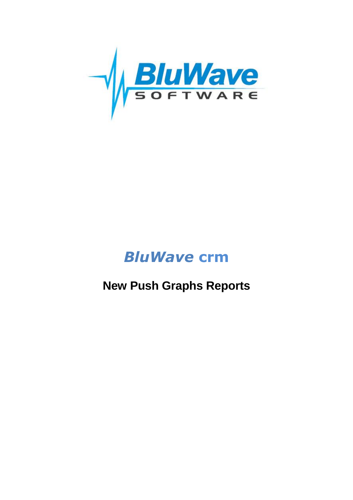

# *BluWave* **crm**

# **New Push Graphs Reports**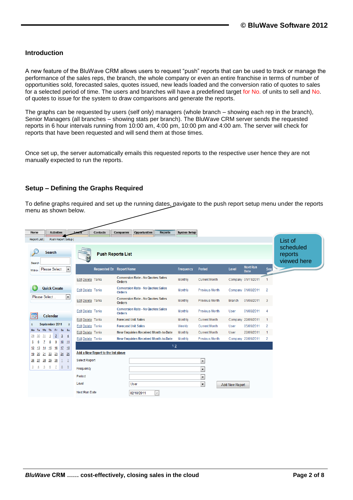#### **Introduction**

A new feature of the BluWave CRM allows users to request "push" reports that can be used to track or manage the performance of the sales reps, the branch, the whole company or even an entire franchise in terms of number of opportunities sold, forecasted sales, quotes issued, new leads loaded and the conversion ratio of quotes to sales for a selected period of time. The users and branches will have a predefined target for No. of units to sell and No. of quotes to issue for the system to draw comparisons and generate the reports.

The graphs can be requested by users (self only) managers (whole branch – showing each rep in the branch), Senior Managers (all branches – showing stats per branch). The BluWave CRM server sends the requested reports in 6 hour intervals running from 10:00 am, 4:00 pm, 10:00 pm and 4:00 am. The server will check for reports that have been requested and will send them at those times.

Once set up, the server automatically emails this requested reports to the respective user hence they are not manually expected to run the reports.

#### **Setup – Defining the Graphs Required**

To define graphs required and set up the running dates, navigate to the push report setup menu under the reports menu as shown below.

| <b>Activities</b><br>Home                                                  | Companies<br>Contacts              | <b>Opportunities</b><br><b>Reports</b>                     | <b>System Setup</b> |                          |                       |                                |                |                                     |
|----------------------------------------------------------------------------|------------------------------------|------------------------------------------------------------|---------------------|--------------------------|-----------------------|--------------------------------|----------------|-------------------------------------|
| Push Report Setup  <br>Report List                                         |                                    |                                                            |                     |                          |                       |                                |                | List of                             |
| Search<br>Search                                                           | <b>Push Reports List</b>           |                                                            |                     |                          |                       |                                |                | scheduled<br>reports<br>viewed here |
| Please Select<br>$\blacktriangledown$<br>Within                            | <b>Requested By</b>                | <b>Report Name</b>                                         | Frequency           | Period                   | Level                 | <b>Next Run</b><br><b>Date</b> | Seq            | <b>STANDARD STANDARD STANDARD</b>   |
|                                                                            | Edit Delete Tania                  | <b>Conversion Rate - No Quotes: Sales</b><br><b>Orders</b> | Monthly             | <b>Current Month</b>     |                       | Company 01/11/2011             |                |                                     |
| <b>Quick Create</b>                                                        | Edit Delete Tania                  | <b>Conversion Rate - No Quotes: Sales</b><br><b>Orders</b> | Monthly             | <b>Previous Month</b>    |                       | Company 01/08/2011             | $\overline{2}$ |                                     |
| Please Select<br>$\blacktriangledown$                                      | Edit Delete Tania                  | <b>Conversion Rate - No Quotes: Sales</b><br><b>Orders</b> | Monthly             | <b>Previous Month</b>    | <b>Branch</b>         | 01/08/2011                     | 3              |                                     |
| m<br>Calendar                                                              | Edit Delete Tania                  | <b>Conversion Rate - No Quotes: Sales</b><br><b>Orders</b> | Monthly             | <b>Previous Month</b>    | <b>User</b>           | 01/08/2011                     | $\overline{4}$ |                                     |
|                                                                            | Edit Delete Tania                  | <b>Forecast Unit Sales</b>                                 | Monthly             | <b>Current Month</b>     | Company               | 22/09/2011                     | 1              |                                     |
| September 2011<br>Σ<br>K.                                                  | Edit Delete Tania                  | <b>Forecast Unit Sales</b>                                 | Weekly              | <b>Current Month</b>     | User                  | 05/09/2011                     | $\overline{2}$ |                                     |
| We<br>Th Fr Sa Su<br>Mo<br>Tu                                              | Edit Delete Tania                  | <b>New Enquiries Received Month-to-Date</b>                | Monthly             | <b>Current Month</b>     | User                  | 22/09/2011                     | 1              |                                     |
| $\overline{2}$<br>$\overline{3}$<br>29<br>30<br>31<br>$\overline{4}$<br>-1 | Edit Delete Tania                  | <b>New Enquiries Received Month-to-Date</b>                | Monthly             | <b>Previous Month</b>    |                       | Company 22/09/2011             | $\overline{2}$ |                                     |
| 9<br>$10 \t 11$<br>5<br>7<br>8<br>15<br>16<br>17                           |                                    | 12                                                         |                     |                          |                       |                                |                |                                     |
| 18<br>12<br>13<br>14<br>20<br>21<br>22<br>23<br>24<br>19<br>25             | Add a New Report to the list above |                                                            |                     |                          |                       |                                |                |                                     |
| 29 30<br>27<br>28<br>$\overline{2}$<br><u> 26</u><br>$\perp$               | <b>Select Report</b>               |                                                            |                     | $\overline{\phantom{a}}$ |                       |                                |                |                                     |
| Z<br>8<br>$\overline{3}$<br>$\overline{5}$<br>6<br>9<br>$\overline{4}$     | Frequency                          |                                                            |                     | $\overline{\phantom{0}}$ |                       |                                |                |                                     |
|                                                                            | Period                             |                                                            |                     | $\overline{\phantom{0}}$ |                       |                                |                |                                     |
|                                                                            | Level                              | <b>User</b>                                                |                     | $\overline{\phantom{0}}$ | <b>Add New Report</b> |                                |                |                                     |
|                                                                            | Next Run Date                      | $\lor$<br>02/10/2011                                       |                     |                          |                       |                                |                |                                     |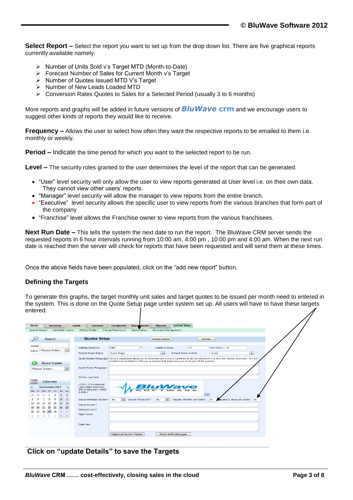**Select Report –** Select the report you want to set up from the drop down list. There are five graphical reports currently available namely:

- Number of Units Sold v's Target MTD (Month-to-Date)
- Forecast Number of Sales for Current Month v's Target
- $\triangleright$  Number of Quotes Issued MTD V's Target
- $\triangleright$  Number of New Leads Loaded MTD
- Conversion Rates Quotes to Sales for a Selected Period (usually 3 to 6 months)

More reports and graphs will be added in future versions of *BluWave* **crm** and we encourage users to suggest other kinds of reports they would like to receive.

**Frequency** – Allows the user to select how often they want the respective reports to be emailed to them i.e. monthly or weekly.

**Period –** Indicate the time period for which you want to the selected report to be run.

**Level –** The security roles granted to the user determines the level of the report that can be generated.

- "User" level security will only allow the user to view reports generated at User level i.e. on their own data. They cannot view other users' reports.
- "Manager" level security will allow the manager to view reports from the entire branch.
- "Executive" level security allows the specific user to view reports from the various branches that form part of the company
- "Franchise" level allows the Franchise owner to view reports from the various franchisees.

**Next Run Date –** This tells the system the next date to run the report. The BluWave CRM server sends the requested reports in 6 hour intervals running from 10:00 am, 4:00 pm , 10:00 pm and 4:00 am. When the next run date is reached then the server will check for reports that have been requested and will send them at these times.

Once the above fields have been populated, click on the "add new report" button.

#### **Defining the Targets**

To generate this graphs, the target monthly unit sales and target quotes to be issued per month need to entered in the system. This is done on the Quote Setup page under system set up. All users will have to have these targets entered.

| <b>Activities</b><br>Home                                                                                 | <b>System Setup</b><br>Leads<br><b>Contacts</b><br>Companies<br>Opportunities<br><b>Reports</b>                                                    |
|-----------------------------------------------------------------------------------------------------------|----------------------------------------------------------------------------------------------------------------------------------------------------|
| System Setup  <br><b>Administer Users</b> I                                                               | Edit My Profile  <br>Change Password  <br>Quote Setup I<br>Document Management                                                                     |
|                                                                                                           |                                                                                                                                                    |
| <b>Search</b>                                                                                             | <b>Quotes Setup</b><br><b>Update Details</b><br>Cancel                                                                                             |
| Search                                                                                                    |                                                                                                                                                    |
| Please Select<br>$\overline{\phantom{a}}$<br>Within                                                       | VAT $(TAX)$ 14<br><b>Starting Quote No</b><br>1253<br>Validity In Days<br>14                                                                       |
|                                                                                                           | $\overline{ }$<br><b>Default Quote Status</b><br>Quote Stage<br><b>Default Quote Activity</b><br>Quote<br>l v l                                    |
|                                                                                                           | Quote Header Paragraph<br>We are passionate about our environment and we are committed to the development of a new low carbon economy. We are      |
| Œ<br><b>Quick Create</b>                                                                                  | excited and humbled to offer you a product that empowers you to be part of the solution.                                                           |
| $\overline{\phantom{a}}$<br>Please Select                                                                 | Quote Footer Paragraph                                                                                                                             |
|                                                                                                           |                                                                                                                                                    |
|                                                                                                           | <b>TOTAL Line Text</b>                                                                                                                             |
| Calendar<br>мF<br>September 2011<br>$\prec$<br>><br>Tu We The Fri Sa Su<br>Mo.                            | LOGO - (The selected<br><b>BluWaye</b><br>Logo Image must be a<br>JPG of less than 100KB<br>in $size.$ )                                           |
| 29<br>$\overline{\mathbf{3}}$<br>30<br>2<br>31<br>$\overline{4}$                                          | Edit                                                                                                                                               |
| 10<br>9<br>$\frac{11}{1}$                                                                                 | Discount/Rebate Section? No<br>Targets: Monthly Unit Sales: 30<br>Quotes to issue per Month: 30<br>Include Product ID?<br>No<br>$\mathbf{r}$<br>l. |
| 16<br>$17 - 18$<br>12<br>15<br>14<br>13                                                                   | <b>Discount Line 1</b>                                                                                                                             |
| 24 25<br>21<br>22<br>23<br>19<br>20<br>28<br>30                                                           | Discount Line 2                                                                                                                                    |
| 26<br>29<br>27<br>$\mathbf{z}$<br>$\mathbf{1}$<br>z<br>$\mathbf{8}$<br>9<br>з<br>5<br>6<br>$\overline{A}$ | Page Footer                                                                                                                                        |
|                                                                                                           |                                                                                                                                                    |
|                                                                                                           | <b>Email Text</b>                                                                                                                                  |
|                                                                                                           | <b>Optional Quote Terms</b><br><b>Rate of Exchanges</b>                                                                                            |
|                                                                                                           |                                                                                                                                                    |

**Click on "update Details" to save the Targets**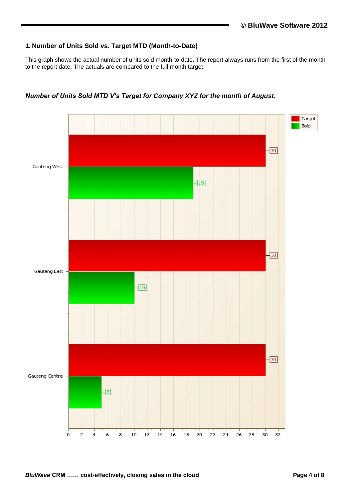#### **1. Number of Units Sold vs. Target MTD (Month-to-Date)**

This graph shows the actual number of units sold month-to-date. The report always runs from the first of the month to the report date. The actuals are compared to the full month target.



*Number of Units Sold MTD V's Target for Company XYZ for the month of August.*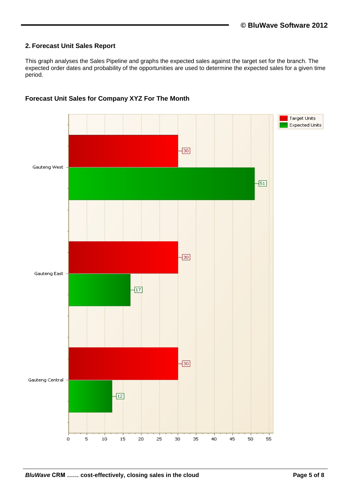### **2. Forecast Unit Sales Report**

This graph analyses the Sales Pipeline and graphs the expected sales against the target set for the branch. The expected order dates and probability of the opportunities are used to determine the expected sales for a given time period.



### **Forecast Unit Sales for Company XYZ For The Month**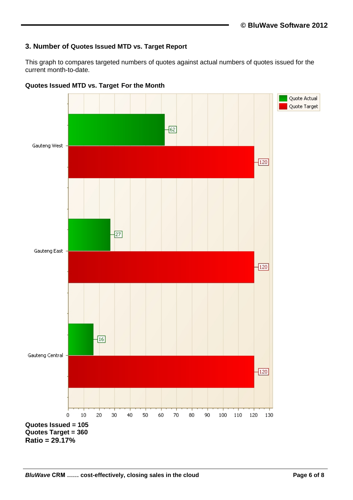## **3. Number of Quotes Issued MTD vs. Target Report**

This graph to compares targeted numbers of quotes against actual numbers of quotes issued for the current month-to-date.



**Quotes Issued MTD vs. Target For the Month**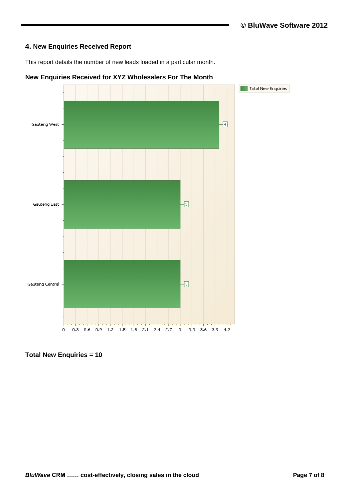### **4. New Enquiries Received Report**

This report details the number of new leads loaded in a particular month.



# **New Enquiries Received for XYZ Wholesalers For The Month**

**Total New Enquiries = 10**